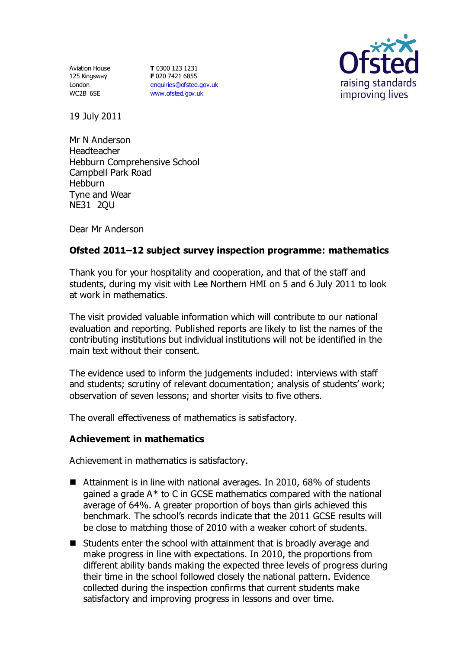Aviation House 125 Kingsway London WC2B 6SE

**T** 0300 123 1231 **F** 020 7421 6855 [enquiries@ofsted.gov.uk](mailto:enquiries@ofsted.gov.uk) [www.ofsted.gov.uk](http://www.ofsted.gov.uk/)



19 July 2011

Mr N Anderson Headteacher Hebburn Comprehensive School Campbell Park Road **Hebburn** Tyne and Wear NE31 2QU

Dear Mr Anderson

# **Ofsted 2011–12 subject survey inspection programme: mathematics**

Thank you for your hospitality and cooperation, and that of the staff and students, during my visit with Lee Northern HMI on 5 and 6 July 2011 to look at work in mathematics.

The visit provided valuable information which will contribute to our national evaluation and reporting. Published reports are likely to list the names of the contributing institutions but individual institutions will not be identified in the main text without their consent.

The evidence used to inform the judgements included: interviews with staff and students; scrutiny of relevant documentation; analysis of students' work; observation of seven lessons; and shorter visits to five others.

The overall effectiveness of mathematics is satisfactory.

#### **Achievement in mathematics**

Achievement in mathematics is satisfactory.

- Attainment is in line with national averages. In 2010, 68% of students gained a grade A\* to C in GCSE mathematics compared with the national average of 64%. A greater proportion of boys than girls achieved this benchmark. The school's records indicate that the 2011 GCSE results will be close to matching those of 2010 with a weaker cohort of students.
- Students enter the school with attainment that is broadly average and make progress in line with expectations. In 2010, the proportions from different ability bands making the expected three levels of progress during their time in the school followed closely the national pattern. Evidence collected during the inspection confirms that current students make satisfactory and improving progress in lessons and over time.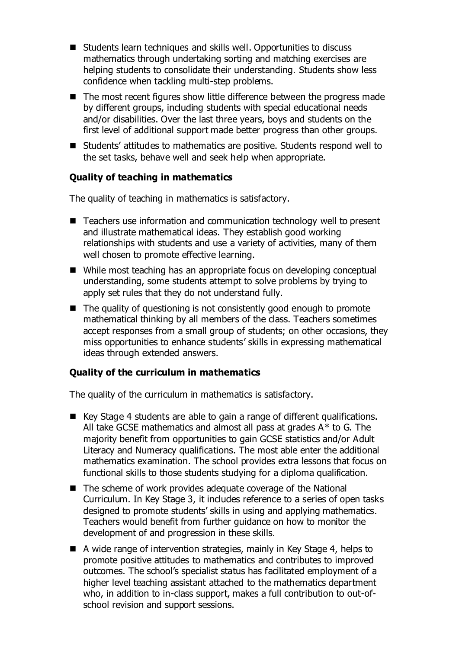- Students learn techniques and skills well. Opportunities to discuss mathematics through undertaking sorting and matching exercises are helping students to consolidate their understanding. Students show less confidence when tackling multi-step problems.
- $\blacksquare$  The most recent figures show little difference between the progress made by different groups, including students with special educational needs and/or disabilities. Over the last three years, boys and students on the first level of additional support made better progress than other groups.
- Students' attitudes to mathematics are positive. Students respond well to the set tasks, behave well and seek help when appropriate.

### **Quality of teaching in mathematics**

The quality of teaching in mathematics is satisfactory.

- Teachers use information and communication technology well to present and illustrate mathematical ideas. They establish good working relationships with students and use a variety of activities, many of them well chosen to promote effective learning.
- While most teaching has an appropriate focus on developing conceptual understanding, some students attempt to solve problems by trying to apply set rules that they do not understand fully.
- The quality of questioning is not consistently good enough to promote mathematical thinking by all members of the class. Teachers sometimes accept responses from a small group of students; on other occasions, they miss opportunities to enhance students' skills in expressing mathematical ideas through extended answers.

#### **Quality of the curriculum in mathematics**

The quality of the curriculum in mathematics is satisfactory.

- Key Stage 4 students are able to gain a range of different qualifications. All take GCSE mathematics and almost all pass at grades  $A^*$  to G. The majority benefit from opportunities to gain GCSE statistics and/or Adult Literacy and Numeracy qualifications. The most able enter the additional mathematics examination. The school provides extra lessons that focus on functional skills to those students studying for a diploma qualification.
- The scheme of work provides adequate coverage of the National Curriculum. In Key Stage 3, it includes reference to a series of open tasks designed to promote students' skills in using and applying mathematics. Teachers would benefit from further guidance on how to monitor the development of and progression in these skills.
- A wide range of intervention strategies, mainly in Key Stage 4, helps to promote positive attitudes to mathematics and contributes to improved outcomes. The school's specialist status has facilitated employment of a higher level teaching assistant attached to the mathematics department who, in addition to in-class support, makes a full contribution to out-ofschool revision and support sessions.